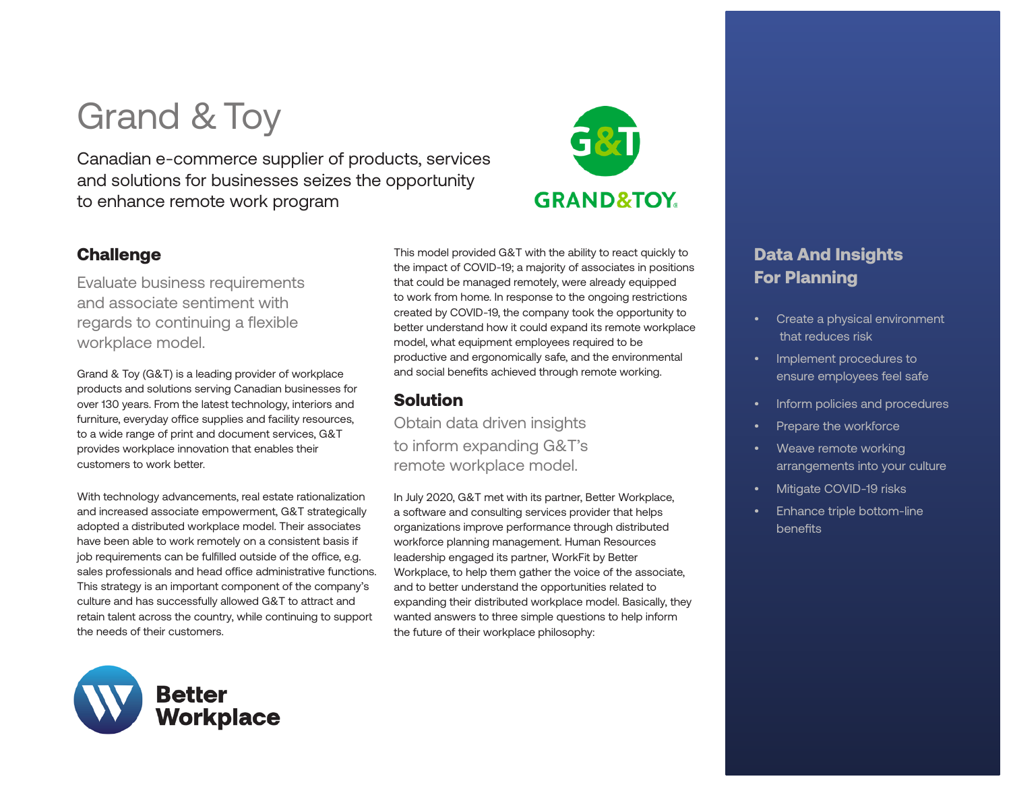# Grand & Toy

Canadian e-commerce supplier of products, services and solutions for businesses seizes the opportunity to enhance remote work program



Evaluate business requirements and associate sentiment with regards to continuing a flexible workplace model.

Grand & Toy (G&T) is a leading provider of workplace products and solutions serving Canadian businesses for over 130 years. From the latest technology, interiors and furniture, everyday office supplies and facility resources, to a wide range of print and document services, G&T provides workplace innovation that enables their customers to work better.

With technology advancements, real estate rationalization and increased associate empowerment, G&T strategically adopted a distributed workplace model. Their associates have been able to work remotely on a consistent basis if job requirements can be fulfilled outside of the office, e.g. sales professionals and head office administrative functions. This strategy is an important component of the company's culture and has successfully allowed G&T to attract and retain talent across the country, while continuing to support the needs of their customers.



This model provided G&T with the ability to react quickly to the impact of COVID-19; a majority of associates in positions that could be managed remotely, were already equipped to work from home. In response to the ongoing restrictions created by COVID-19, the company took the opportunity to better understand how it could expand its remote workplace model, what equipment employees required to be productive and ergonomically safe, and the environmental and social benefits achieved through remote working.

**GRAND&TOY.** 

## Solution

Obtain data driven insights to inform expanding G&T's remote workplace model.

In July 2020, G&T met with its partner, Better Workplace, a software and consulting services provider that helps organizations improve performance through distributed workforce planning management. Human Resources leadership engaged its partner, WorkFit by Better Workplace, to help them gather the voice of the associate, and to better understand the opportunities related to expanding their distributed workplace model. Basically, they wanted answers to three simple questions to help inform the future of their workplace philosophy:

## Data And Insights For Planning

- Create a physical environment that reduces risk
- Implement procedures to ensure employees feel safe
- Inform policies and procedures
- Prepare the workforce
- Weave remote working arrangements into your culture
- Mitigate COVID-19 risks
- Enhance triple bottom-line benefits